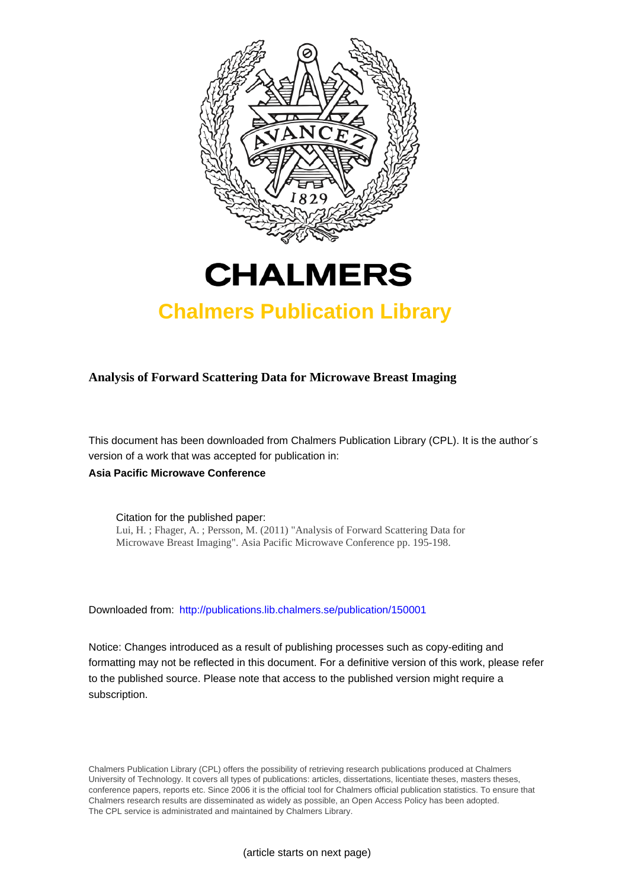



# **Chalmers Publication Library**

**Analysis of Forward Scattering Data for Microwave Breast Imaging**

This document has been downloaded from Chalmers Publication Library (CPL). It is the author´s version of a work that was accepted for publication in:

**Asia Pacific Microwave Conference**

Citation for the published paper: Lui, H. ; Fhager, A. ; Persson, M. (2011) "Analysis of Forward Scattering Data for Microwave Breast Imaging". Asia Pacific Microwave Conference pp. 195-198.

Downloaded from: <http://publications.lib.chalmers.se/publication/150001>

Notice: Changes introduced as a result of publishing processes such as copy-editing and formatting may not be reflected in this document. For a definitive version of this work, please refer to the published source. Please note that access to the published version might require a subscription.

Chalmers Publication Library (CPL) offers the possibility of retrieving research publications produced at Chalmers University of Technology. It covers all types of publications: articles, dissertations, licentiate theses, masters theses, conference papers, reports etc. Since 2006 it is the official tool for Chalmers official publication statistics. To ensure that Chalmers research results are disseminated as widely as possible, an Open Access Policy has been adopted. The CPL service is administrated and maintained by Chalmers Library.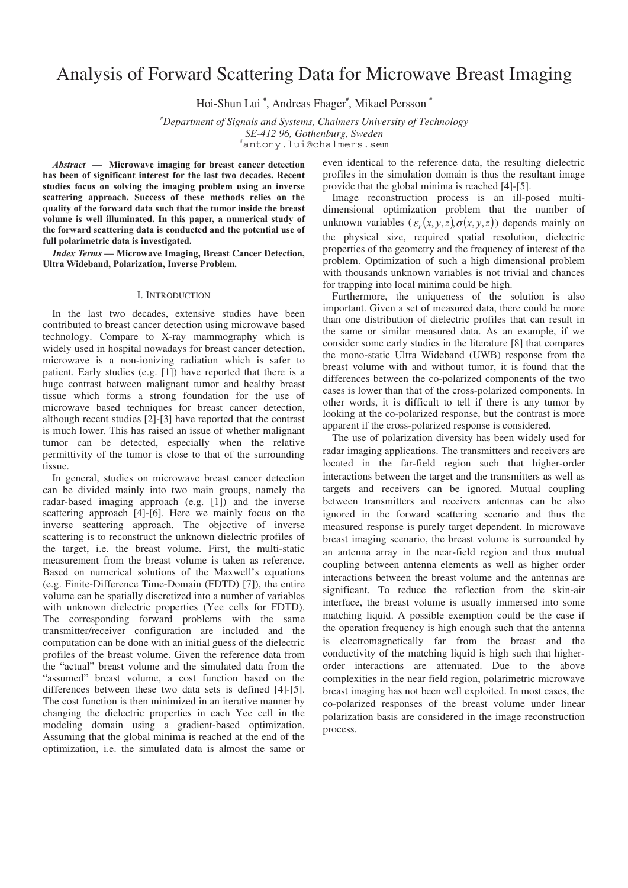## Analysis of Forward Scattering Data for Microwave Breast Imaging

Hoi-Shun Lui<sup>#</sup>, Andreas Fhager<sup>#</sup>, Mikael Persson<sup>#</sup>

*# Department of Signals and Systems, Chalmers University of Technology SE-412 96, Gothenburg, Sweden* # antony.lui@chalmers.sem

*Abstract* **— Microwave imaging for breast cancer detection has been of significant interest for the last two decades. Recent studies focus on solving the imaging problem using an inverse scattering approach. Success of these methods relies on the quality of the forward data such that the tumor inside the breast volume is well illuminated. In this paper, a numerical study of the forward scattering data is conducted and the potential use of full polarimetric data is investigated.** 

*Index Terms* **— Microwave Imaging, Breast Cancer Detection, Ultra Wideband, Polarization, Inverse Problem.**

## I. INTRODUCTION

In the last two decades, extensive studies have been contributed to breast cancer detection using microwave based technology. Compare to X-ray mammography which is widely used in hospital nowadays for breast cancer detection, microwave is a non-ionizing radiation which is safer to patient. Early studies (e.g. [1]) have reported that there is a huge contrast between malignant tumor and healthy breast tissue which forms a strong foundation for the use of microwave based techniques for breast cancer detection, although recent studies [2]-[3] have reported that the contrast is much lower. This has raised an issue of whether malignant tumor can be detected, especially when the relative permittivity of the tumor is close to that of the surrounding tissue.

In general, studies on microwave breast cancer detection can be divided mainly into two main groups, namely the radar-based imaging approach (e.g. [1]) and the inverse scattering approach [4]-[6]. Here we mainly focus on the inverse scattering approach. The objective of inverse scattering is to reconstruct the unknown dielectric profiles of the target, i.e. the breast volume. First, the multi-static measurement from the breast volume is taken as reference. Based on numerical solutions of the Maxwell's equations (e.g. Finite-Difference Time-Domain (FDTD) [7]), the entire volume can be spatially discretized into a number of variables with unknown dielectric properties (Yee cells for FDTD). The corresponding forward problems with the same transmitter/receiver configuration are included and the computation can be done with an initial guess of the dielectric profiles of the breast volume. Given the reference data from the "actual" breast volume and the simulated data from the "assumed" breast volume, a cost function based on the differences between these two data sets is defined [4]-[5]. The cost function is then minimized in an iterative manner by changing the dielectric properties in each Yee cell in the modeling domain using a gradient-based optimization. Assuming that the global minima is reached at the end of the optimization, i.e. the simulated data is almost the same or

even identical to the reference data, the resulting dielectric profiles in the simulation domain is thus the resultant image provide that the global minima is reached [4]-[5].

Image reconstruction process is an ill-posed multidimensional optimization problem that the number of unknown variables  $(\varepsilon_r(x, y, z), \sigma(x, y, z))$  depends mainly on the physical size, required spatial resolution, dielectric properties of the geometry and the frequency of interest of the problem. Optimization of such a high dimensional problem with thousands unknown variables is not trivial and chances for trapping into local minima could be high.

Furthermore, the uniqueness of the solution is also important. Given a set of measured data, there could be more than one distribution of dielectric profiles that can result in the same or similar measured data. As an example, if we consider some early studies in the literature [8] that compares the mono-static Ultra Wideband (UWB) response from the breast volume with and without tumor, it is found that the differences between the co-polarized components of the two cases is lower than that of the cross-polarized components. In other words, it is difficult to tell if there is any tumor by looking at the co-polarized response, but the contrast is more apparent if the cross-polarized response is considered.

The use of polarization diversity has been widely used for radar imaging applications. The transmitters and receivers are located in the far-field region such that higher-order interactions between the target and the transmitters as well as targets and receivers can be ignored. Mutual coupling between transmitters and receivers antennas can be also ignored in the forward scattering scenario and thus the measured response is purely target dependent. In microwave breast imaging scenario, the breast volume is surrounded by an antenna array in the near-field region and thus mutual coupling between antenna elements as well as higher order interactions between the breast volume and the antennas are significant. To reduce the reflection from the skin-air interface, the breast volume is usually immersed into some matching liquid. A possible exemption could be the case if the operation frequency is high enough such that the antenna is electromagnetically far from the breast and the conductivity of the matching liquid is high such that higherorder interactions are attenuated. Due to the above complexities in the near field region, polarimetric microwave breast imaging has not been well exploited. In most cases, the co-polarized responses of the breast volume under linear polarization basis are considered in the image reconstruction process.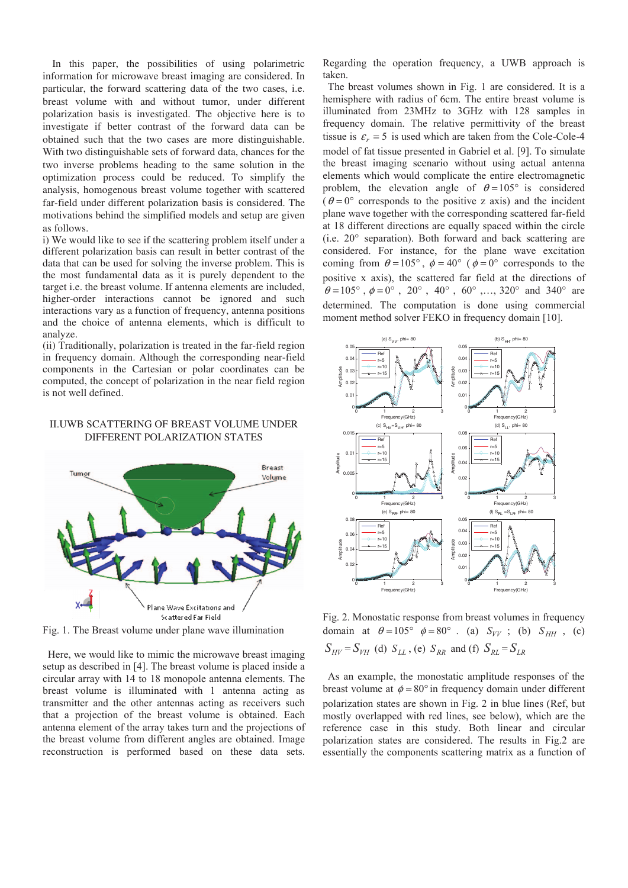In this paper, the possibilities of using polarimetric information for microwave breast imaging are considered. In particular, the forward scattering data of the two cases, i.e. breast volume with and without tumor, under different polarization basis is investigated. The objective here is to investigate if better contrast of the forward data can be obtained such that the two cases are more distinguishable. With two distinguishable sets of forward data, chances for the two inverse problems heading to the same solution in the optimization process could be reduced. To simplify the analysis, homogenous breast volume together with scattered far-field under different polarization basis is considered. The motivations behind the simplified models and setup are given as follows.

i) We would like to see if the scattering problem itself under a different polarization basis can result in better contrast of the data that can be used for solving the inverse problem. This is the most fundamental data as it is purely dependent to the target i.e. the breast volume. If antenna elements are included, higher-order interactions cannot be ignored and such interactions vary as a function of frequency, antenna positions and the choice of antenna elements, which is difficult to analyze.

(ii) Traditionally, polarization is treated in the far-field region in frequency domain. Although the corresponding near-field components in the Cartesian or polar coordinates can be computed, the concept of polarization in the near field region is not well defined.

## II.UWB SCATTERING OF BREAST VOLUME UNDER DIFFERENT POLARIZATION STATES



Fig. 1. The Breast volume under plane wave illumination

Here, we would like to mimic the microwave breast imaging setup as described in [4]. The breast volume is placed inside a circular array with 14 to 18 monopole antenna elements. The breast volume is illuminated with 1 antenna acting as transmitter and the other antennas acting as receivers such that a projection of the breast volume is obtained. Each antenna element of the array takes turn and the projections of the breast volume from different angles are obtained. Image reconstruction is performed based on these data sets.

Regarding the operation frequency, a UWB approach is taken.

The breast volumes shown in Fig. 1 are considered. It is a hemisphere with radius of 6cm. The entire breast volume is illuminated from 23MHz to 3GHz with 128 samples in frequency domain. The relative permittivity of the breast tissue is  $\varepsilon_r = 5$  is used which are taken from the Cole-Cole-4 model of fat tissue presented in Gabriel et al. [9]. To simulate the breast imaging scenario without using actual antenna elements which would complicate the entire electromagnetic problem, the elevation angle of  $\theta = 105^{\circ}$  is considered  $(\theta = 0^{\circ}$  corresponds to the positive z axis) and the incident plane wave together with the corresponding scattered far-field at 18 different directions are equally spaced within the circle (i.e.  $20^{\circ}$  separation). Both forward and back scattering are considered. For instance, for the plane wave excitation coming from  $\theta = 105^\circ$ ,  $\phi = 40^\circ$  (  $\phi = 0^\circ$  corresponds to the positive x axis), the scattered far field at the directions of  $\theta = 105^{\circ}$ ,  $\phi = 0^{\circ}$ ,  $20^{\circ}$ ,  $40^{\circ}$ ,  $60^{\circ}$ , ..., 320° and 340° are determined. The computation is done using commercial moment method solver FEKO in frequency domain [10].



Fig. 2. Monostatic response from breast volumes in frequency domain at  $\theta = 105^\circ$   $\phi = 80^\circ$  . (a)  $S_{VV}$ ; (b)  $S_{HH}$ , (c)  $S_{HV} = S_{VH}$  (d)  $S_{LL}$ , (e)  $S_{RR}$  and (f)  $S_{RL} = S_{LR}$ 

As an example, the monostatic amplitude responses of the breast volume at  $\phi = 80^{\circ}$  in frequency domain under different polarization states are shown in Fig. 2 in blue lines (Ref, but mostly overlapped with red lines, see below), which are the reference case in this study. Both linear and circular polarization states are considered. The results in Fig.2 are essentially the components scattering matrix as a function of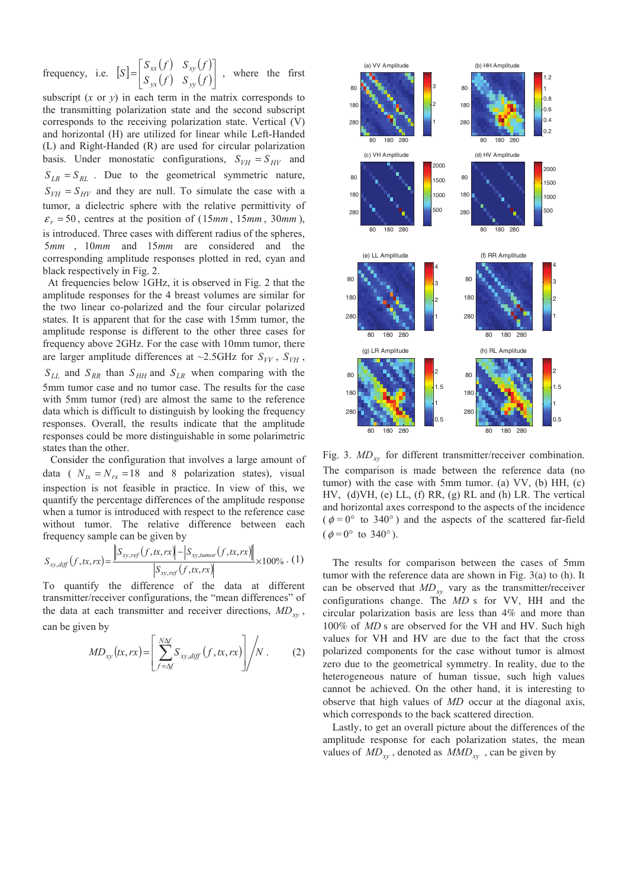frequency, i.e.  $[S] = \begin{bmatrix} S_{xx}(f) & S_{xy}(f) \\ S_{yx}(f) & S_{yy}(f) \end{bmatrix}$  $\begin{vmatrix} S_{xx}(f) & S_{xy}(f) \\ S_{yx}(f) & S_{xy}(f) \end{vmatrix}$  $[S] = \begin{bmatrix} S_{xx}(f) & S_{xy}(f) \\ S_{yx}(f) & S_{yy}(f) \end{bmatrix}$ *yx yy*  $\begin{bmatrix} xx \vee y & y \wedge z \end{bmatrix}$ , where the first

subscript  $(x \text{ or } y)$  in each term in the matrix corresponds to the transmitting polarization state and the second subscript corresponds to the receiving polarization state. Vertical (V) and horizontal (H) are utilized for linear while Left-Handed (L) and Right-Handed (R) are used for circular polarization basis. Under monostatic configurations,  $S_{VH} = S_{HV}$  and  $S_{LR} = S_{RL}$ . Due to the geometrical symmetric nature,  $S_{VH} = S_{HV}$  and they are null. To simulate the case with a tumor, a dielectric sphere with the relative permittivity of  $\varepsilon_r = 50$ , centres at the position of (15mm, 15mm, 30mm), is introduced. Three cases with different radius of the spheres, 5mm, 10mm and 15mm are considered and the corresponding amplitude responses plotted in red, cyan and black respectively in Fig. 2.

At frequencies below 1GHz, it is observed in Fig. 2 that the amplitude responses for the 4 breast volumes are similar for the two linear co-polarized and the four circular polarized states. It is apparent that for the case with 15mm tumor, the amplitude response is different to the other three cases for frequency above 2GHz. For the case with 10mm tumor, there are larger amplitude differences at  $\sim$ 2.5GHz for  $S_{VV}$ ,  $S_{VH}$ ,  $S_{LL}$  and  $S_{RR}$  than  $S_{HH}$  and  $S_{LR}$  when comparing with the 5mm tumor case and no tumor case. The results for the case with 5mm tumor (red) are almost the same to the reference data which is difficult to distinguish by looking the frequency responses. Overall, the results indicate that the amplitude responses could be more distinguishable in some polarimetric states than the other.

 Consider the configuration that involves a large amount of data ( $N_{tx} = N_{rx} = 18$  and 8 polarization states), visual inspection is not feasible in practice. In view of this, we quantify the percentage differences of the amplitude response when a tumor is introduced with respect to the reference case without tumor. The relative difference between each frequency sample can be given by

$$
S_{xy,diff}(f,tx,rx) = \frac{\left\|S_{xy,ref}(f,tx,rx)\right\| - \left|S_{xy,numor}(f,tx,rx)\right\|}{\left|S_{xy,ref}(f,tx,rx)\right|} \times 100\% \cdot (1)
$$

To quantify the difference of the data at different transmitter/receiver configurations, the "mean differences" of the data at each transmitter and receiver directions,  $MD_{xy}$ , can be given by

$$
MD_{xy}(tx,rx) = \left[ \sum_{f=AY}^{N\Delta f} S_{xy,diff}(f,tx,rx) \right] / N . \tag{2}
$$



Fig. 3.  $MD_{xy}$  for different transmitter/receiver combination. The comparison is made between the reference data (no tumor) with the case with 5mm tumor. (a) VV, (b) HH, (c) HV, (d)VH, (e) LL, (f) RR, (g) RL and (h) LR. The vertical and horizontal axes correspond to the aspects of the incidence ( $\phi = 0^{\circ}$  to 340°) and the aspects of the scattered far-field  $(\phi = 0^{\circ} \text{ to } 340^{\circ}).$ 

The results for comparison between the cases of 5mm tumor with the reference data are shown in Fig. 3(a) to (h). It can be observed that  $MD_{xy}$  vary as the transmitter/receiver configurations change. The *MD* s for VV, HH and the circular polarization basis are less than 4% and more than 100% of *MD* s are observed for the VH and HV. Such high values for VH and HV are due to the fact that the cross polarized components for the case without tumor is almost zero due to the geometrical symmetry. In reality, due to the heterogeneous nature of human tissue, such high values cannot be achieved. On the other hand, it is interesting to observe that high values of *MD* occur at the diagonal axis, which corresponds to the back scattered direction.

Lastly, to get an overall picture about the differences of the amplitude response for each polarization states, the mean values of  $MD_{xy}$ , denoted as  $MMD_{xy}$ , can be given by